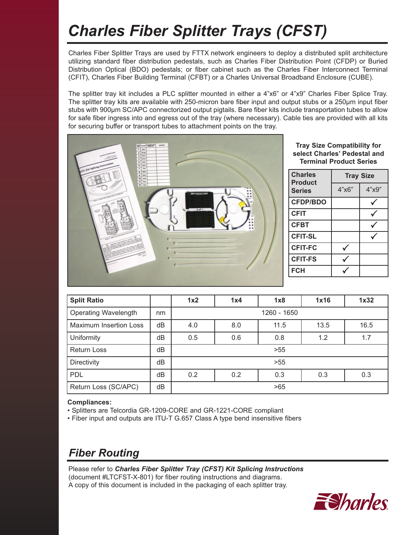# *Charles Fiber Splitter Trays (CFST)*

Charles Fiber Splitter Trays are used by FTTX network engineers to deploy a distributed split architecture utilizing standard fiber distribution pedestals, such as Charles Fiber Distribution Point (CFDP) or Buried Distribution Optical (BDO) pedestals; or fiber cabinet such as the Charles Fiber Interconnect Terminal (CFIT), Charles Fiber Building Terminal (CFBT) or a Charles Universal Broadband Enclosure (CUBE).

The splitter tray kit includes a PLC splitter mounted in either a 4"x6" or 4"x9" Charles Fiber Splice Tray. The splitter tray kits are available with 250-micron bare fiber input and output stubs or a 250µm input fiber stubs with 900µm SC/APC connectorized output pigtails. Bare fiber kits include transportation tubes to allow for safe fiber ingress into and egress out of the tray (where necessary). Cable ties are provided with all kits for securing buffer or transport tubes to attachment points on the tray.



**Tray Size Compatibility for select Charles' Pedestal and Terminal Product Series**

| <b>Charles</b><br><b>Product</b> | <b>Tray Size</b> |       |  |
|----------------------------------|------------------|-------|--|
| <b>Series</b>                    | 4"x6"            | 4"x9" |  |
| <b>CFDP/BDO</b>                  |                  |       |  |
| <b>CFIT</b>                      |                  |       |  |
| <b>CFBT</b>                      |                  |       |  |
| <b>CFIT-SL</b>                   |                  |       |  |
| <b>CFIT-FC</b>                   |                  |       |  |
| <b>CFIT-FS</b>                   |                  |       |  |
| <b>FCH</b>                       |                  |       |  |

| <b>Split Ratio</b>            |    | 1x2         | 1x4 | 1x8  | 1x16 | 1x32 |  |
|-------------------------------|----|-------------|-----|------|------|------|--|
| <b>Operating Wavelength</b>   | nm | 1260 - 1650 |     |      |      |      |  |
| <b>Maximum Insertion Loss</b> | dB | 4.0         | 8.0 | 11.5 | 13.5 | 16.5 |  |
| Uniformity                    | dB | 0.5         | 0.6 | 0.8  | 1.2  | 1.7  |  |
| <b>Return Loss</b>            | dB | >55         |     |      |      |      |  |
| Directivity                   | dB | >55         |     |      |      |      |  |
| <b>PDL</b>                    | dB | 0.2         | 0.2 | 0.3  | 0.3  | 0.3  |  |
| Return Loss (SC/APC)          | dB | >65         |     |      |      |      |  |

### **Compliances:**

- Splitters are Telcordia GR-1209-CORE and GR-1221-CORE compliant
- Fiber input and outputs are ITU-T G.657 Class A type bend insensitive fibers

# *Fiber Routing*

Please refer to *Charles Fiber Splitter Tray (CFST) Kit Splicing Instructions* (document #LTCFST-X-801) for fiber routing instructions and diagrams. A copy of this document is included in the packaging of each splitter tray.